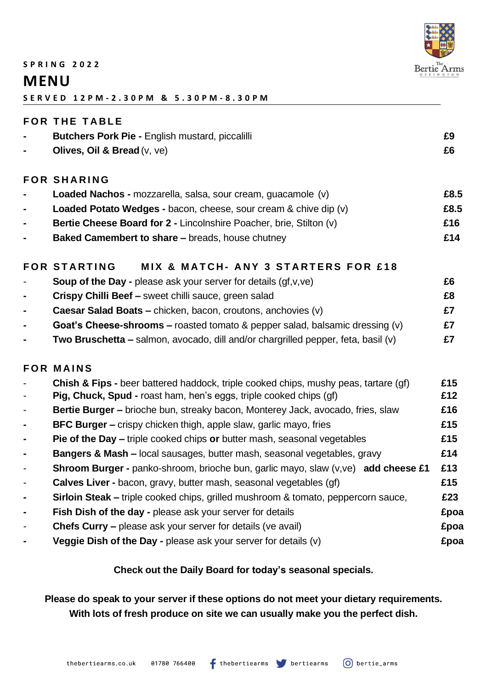

#### **S P R I N G 2 0 2 2**

# **MENU**

**S E R V E D 1 2 P M - 2 . 3 0 P M & 5 . 3 0 P M - 8 . 3 0 P M**

### **FOR THE TABLE**

| $\sim$ | <b>Butchers Pork Pie - English mustard, piccalilli</b> |  |
|--------|--------------------------------------------------------|--|
|        | Olives, Oil & Bread $(v, ve)$                          |  |

## **F O R S H A R I N G**

| $\sim$         | Loaded Nachos - mozzarella, salsa, sour cream, guacamole (v)        | £8.5 |
|----------------|---------------------------------------------------------------------|------|
| $\blacksquare$ | Loaded Potato Wedges - bacon, cheese, sour cream & chive dip (v)    | £8.5 |
| $\sim$         | Bertie Cheese Board for 2 - Lincolnshire Poacher, brie, Stilton (v) | £16  |
| $\sim$         | <b>Baked Camembert to share – breads, house chutney</b>             | £14  |

## FOR STARTING MIX & MATCH- ANY 3 STARTERS FOR £18

| $\blacksquare$ | <b>Soup of the Day -</b> please ask your server for details $(gf,v,ve)$                 | £6 |
|----------------|-----------------------------------------------------------------------------------------|----|
| $\sim$         | Crispy Chilli Beef - sweet chilli sauce, green salad                                    | £8 |
| $\sim$         | Caesar Salad Boats - chicken, bacon, croutons, anchovies (v)                            |    |
| $\blacksquare$ | <b>Goat's Cheese-shrooms – roasted tomato &amp; pepper salad, balsamic dressing (v)</b> |    |
| $\blacksquare$ | Two Bruschetta - salmon, avocado, dill and/or chargrilled pepper, feta, basil (v)       |    |

## **F O R M A I N S**

| $\overline{\phantom{a}}$<br>$\blacksquare$ | Chish & Fips - beer battered haddock, triple cooked chips, mushy peas, tartare (gf)<br>Pig, Chuck, Spud - roast ham, hen's eggs, triple cooked chips (gf) | £15<br>£12 |
|--------------------------------------------|-----------------------------------------------------------------------------------------------------------------------------------------------------------|------------|
| $\overline{\phantom{a}}$                   | Bertie Burger - brioche bun, streaky bacon, Monterey Jack, avocado, fries, slaw                                                                           | £16        |
| $\blacksquare$                             | <b>BFC Burger – crispy chicken thigh, apple slaw, garlic mayo, fries</b>                                                                                  | £15        |
| $\blacksquare$                             | <b>Pie of the Day –</b> triple cooked chips or butter mash, seasonal vegetables                                                                           | £15        |
| $\blacksquare$                             | <b>Bangers &amp; Mash – local sausages, butter mash, seasonal vegetables, gravy</b>                                                                       | £14        |
| $\overline{\phantom{a}}$                   | Shroom Burger - panko-shroom, brioche bun, garlic mayo, slaw (v,ve) add cheese £1                                                                         | £13        |
| $\blacksquare$                             | <b>Calves Liver -</b> bacon, gravy, butter mash, seasonal vegetables (gf)                                                                                 | £15        |
| $\blacksquare$                             | Sirloin Steak - triple cooked chips, grilled mushroom & tomato, peppercorn sauce,                                                                         | £23        |
| $\blacksquare$                             | Fish Dish of the day - please ask your server for details                                                                                                 | £poa       |
| $\blacksquare$                             | <b>Chefs Curry –</b> please ask your server for details (ve avail)                                                                                        | £poa       |
|                                            | <b>Veggie Dish of the Day -</b> please ask your server for details $(v)$                                                                                  | £poa       |

## **Check out the Daily Board for today's seasonal specials.**

# **Please do speak to your server if these options do not meet your dietary requirements. With lots of fresh produce on site we can usually make you the perfect dish.**